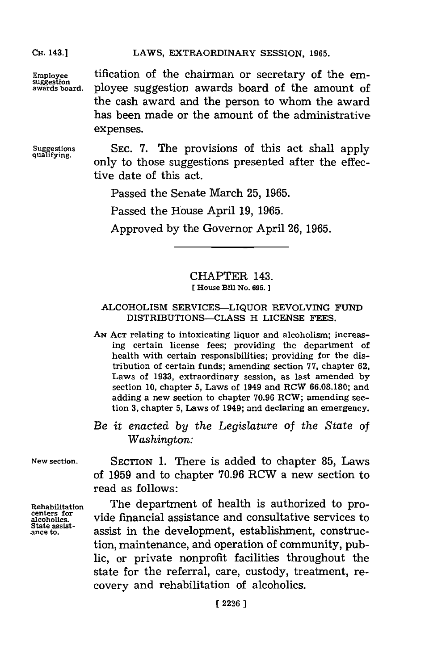**CH.** 143.]

LAWS, EXTRAORDINARY SESSION, 1965.

 $E_{\text{imployee}}$  tification of the chairman or secretary of the em-<br>suggestion awards board of the amount of ployee suggestion awards board of the amount of the cash award and the person to whom the award has been made or the amount of the administrative expenses.

**Suggestions quali fying.**

**SEC. 7.** The provisions of this act shall apply only to those suggestions presented after the effective date of this act.

Passed the Senate March **25, 1965.**

Passed the House April **19, 1965.**

Approved **by** the Governor April **26, 1965.**

## CHAPTER 143.

### [House Bill No. 695.]

### ALCOHOLISM SERVICES-LIQUOR REVOLVING **FUND** DISTRIBUTIONS-CLASS H LICENSE **FEES.**

- **AN ACT** relating to intoxicating liquor and alcoholism; increasing certain license fees; providing the department of health with certain responsibilities; providing for the distribution of certain funds; amending section **77,** chapter **62,** Laws of **1933,** extraordinary session, as last amended **by** section **10,** chapter **5,** Laws of 1949 and RCW **66.08.180;** and adding a new section to chapter **70.96** RCW; amending section **3,** chapter **5,** Laws of 1949; and declaring an emergency.
- *Be it enacted by the Legislature of the State of Washington:*

**New section.**

SECTION **1.** There is added to chapter **85,** Laws of **1959** and to chapter **70.96** RCW a new section to read as follows:

Rehabilitation centers for alcoholics. State assist-<br>ance to.

The department of health is authorized to provide financial assistance and consultative services to assist in the development, establishment, construction, maintenance, and operation of community, public, or private nonprofit facilities throughout the state for the referral, care, custody, treatment, recovery and rehabilitation of alcoholics.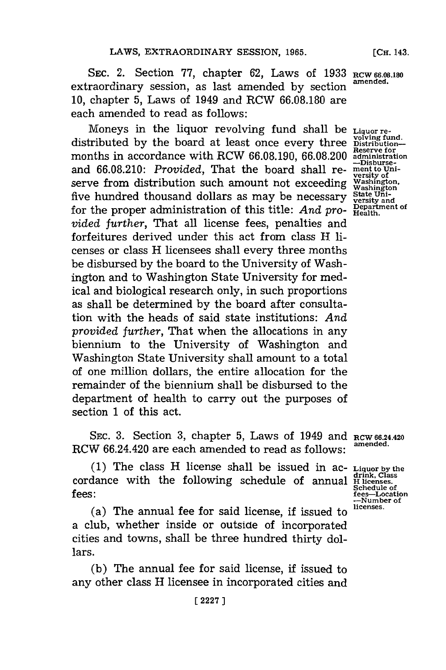**SEc.** 2. Section **77,** chapter **62,** Laws of **1933 RCW 66.08.180** extraordinary session, as last amended **by** section **amended. 10,** chapter **5,** Laws of 1949 and RCW **66.08.180** are each amended to read as follows:

Moneys in the liquor revolving fund shall be **Liquor re-**<br>distributed by the board at least once every three polying fund.<br>  $\frac{1}{2}$  and  $\frac{1}{2}$  and  $\frac{1}{2}$  and  $\frac{1}{2}$  and  $\frac{1}{2}$  and  $\frac{1}{2}$  and  $\frac{1}{2}$  and months in accordance with RCW 66.08.190, 66.08.200 administration<br>-Disburseand 66.08.210: Provided, That the board shall re- ment to Uniserve from distribution such amount not exceeding For the main distribution such different five showcalling washington<br>five hundred thousand dollars as may be necessary state Unifor the proper administration of this title: *And pro-* **Pepartment** of the state of  $P_{\text{Health}}$ . *vided further,* That all license fees, penalties and forfeitures derived under this act from class H licenses or class H licensees shall every three months be disbursed **by** the board to the University of Washington and to Washington State University for medical and biological research only, in such proportions as shall be determined **by** the board after consultation with the heads of said state institutions: *And provided further,* That when the allocations in any biennium to the University of Washington and Washington State University shall amount to a total of one million dollars, the entire allocation for the remainder of the biennium shall be disbursed to the department of health to carry out the purposes of section **1** of this act.

**SEC. 3.** Section **3,** chapter **5,** Laws of 1949 and **RCW 66.24.420** RCW 66.24.420 are each amended to read as follows:

**(1)** The class H license shall be issued in ac- **Liquor by the Idrink, Class** cordance with the following schedule of annual **H licenses. Schedule of**<br>**Schedule** of<br>**Schedule** of<br>**Schedule** of<br>**Schedule** of<br>**Schedule** of<br>**Schedule** of<br>**Schedule** of

(a) The annual fee for said license, if issued to **licenses.** a club, whether inside or outside of incorporated cities and towns, shall be three hundred thirty dollars.

**(b)** The annual fee for said license, if issued to any other class H licensee in incorporated cities and **[CH.** 143.

**versity of**<br>**Washington**,<br>**Washington** 

fees—Location<br>--Number of<br>licenses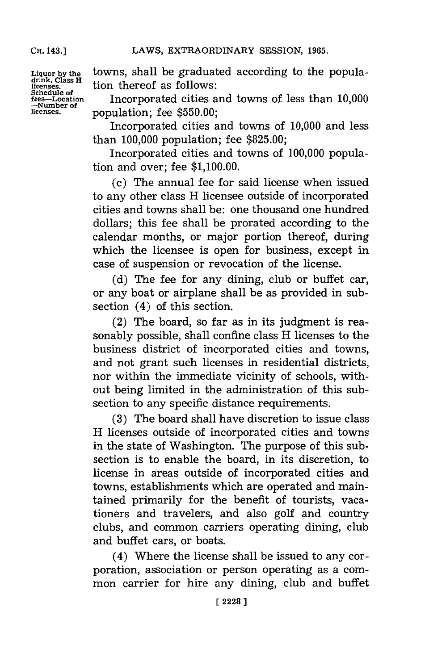**CH.** 143.]

**Liquor by the drink, Class H licenses. Schedule of fees-Location -Number of licenses.**

towns, shall be graduated according to the population thereof as follows:

Incorporated cities and towns of less than **10,000** population; fee **\$550.00;**

Incorporated cities and towns of **10,000** and less than **100,000** population; fee **\$825.00;**

Incorporated cities and towns of **100,000** population and over; fee **\$1,100.00.**

(c) The annual fee for said license when issued to any other class H licensee outside of incorporated cities and towns shall be: one thousand one hundred dollars; this fee shall be prorated according to the calendar months, or major portion thereof, during which the licensee is open for business, except in case of suspension or revocation of the license.

**(d)** The fee for any dining, club or buffet car, or any boat or airplane shall be as provided in subsection (4) of this section.

(2) The board, so far as in its judgment is reasonably possible, shall confine class H licenses to the business district of incorporated cities and towns, and not grant such licenses in residential districts, nor within the immediate vicinity of schools, without being limited in the administration of this subsection to any specific distance requirements.

**(3)** The board shall have discretion to issue class H licenses outside of incorporated cities and towns in the state of Washington. The purpose of this subsection is to enable the board, in its discretion, to license in areas outside of incorporated cities and towns, establishments which are operated and maintained primarily for the benefit of tourists, vacationers and travelers, and also golf and country clubs, and common carriers operating dining, club and buffet cars, or boats.

(4) Where the license shall be issued to any corporation, association or person operating as a common carrier for hire any dining, club and buffet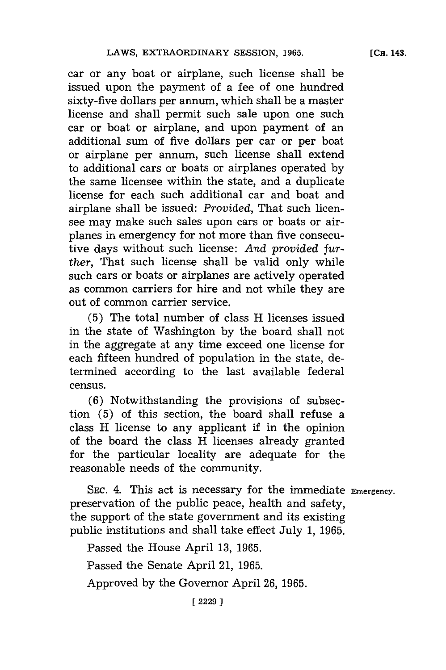car or any boat or airplane, such license shall be issued upon the payment of a fee of one hundred sixty-five dollars per annum, which shall be a master license and shall permit such sale upon one such car or boat or airplane, and upon payment of an additional sum of five dollars per car or per boat or airplane per annum, such license shall extend to additional cars or boats or airplanes operated **by** the same licensee within the state, and a duplicate license for each such additional car and boat and airplane shall be issued: *Provided,* That such licensee may make such sales upon cars or boats or airplanes in emergency **for** not more than five consecutive days without such license: *And provided further,* That such license shall be valid only while such cars or boats or airplanes are actively operated as common carriers for hire and not while they are out of common carrier service.

**(5)** The total number of class H licenses issued in the state of Washington **by** the board shall not in the aggregate at any time exceed one license for each fifteen hundred of population in the state, determined according to the last available federal census.

**(6)** Notwithstanding the provisions of subsection **(5)** of this section, the board shall refuse a class H license to any applicant if in the opinion of the board the class H licenses already granted for the particular locality are adequate for the reasonable needs of the community.

**SEC.** 4. This act is necessary for the immediate **Emergency.** preservation of the public peace, health and safety, the support of the state government and its existing public institutions and shall take effect July **1, 1965.**

Passed the House April **13, 1965.**

Passed the Senate April 21, **1965.**

Approved **by** the Governor April **26, 1965.**

**[ 2229** ]